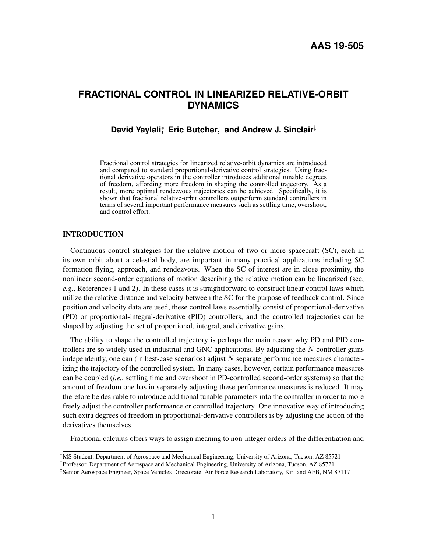# **FRACTIONAL CONTROL IN LINEARIZED RELATIVE-ORBIT DYNAMICS**

## **David Yaylali**; Eric Butcher<sup>†</sup>, and Andrew J. Sinclair<sup>‡</sup>

Fractional control strategies for linearized relative-orbit dynamics are introduced and compared to standard proportional-derivative control strategies. Using fractional derivative operators in the controller introduces additional tunable degrees of freedom, affording more freedom in shaping the controlled trajectory. As a result, more optimal rendezvous trajectories can be achieved. Specifically, it is shown that fractional relative-orbit controllers outperform standard controllers in terms of several important performance measures such as settling time, overshoot, and control effort.

### INTRODUCTION

Continuous control strategies for the relative motion of two or more spacecraft (SC), each in its own orbit about a celestial body, are important in many practical applications including SC formation flying, approach, and rendezvous. When the SC of interest are in close proximity, the nonlinear second-order equations of motion describing the relative motion can be linearized (see, *e.g.*, References [1](#page-18-0) and [2\)](#page-18-1). In these cases it is straightforward to construct linear control laws which utilize the relative distance and velocity between the SC for the purpose of feedback control. Since position and velocity data are used, these control laws essentially consist of proportional-derivative (PD) or proportional-integral-derivative (PID) controllers, and the controlled trajectories can be shaped by adjusting the set of proportional, integral, and derivative gains.

The ability to shape the controlled trajectory is perhaps the main reason why PD and PID controllers are so widely used in industrial and GNC applications. By adjusting the  $N$  controller gains independently, one can (in best-case scenarios) adjust  $N$  separate performance measures characterizing the trajectory of the controlled system. In many cases, however, certain performance measures can be coupled (*i.e.*, settling time and overshoot in PD-controlled second-order systems) so that the amount of freedom one has in separately adjusting these performance measures is reduced. It may therefore be desirable to introduce additional tunable parameters into the controller in order to more freely adjust the controller performance or controlled trajectory. One innovative way of introducing such extra degrees of freedom in proportional-derivative controllers is by adjusting the action of the derivatives themselves.

Fractional calculus offers ways to assign meaning to non-integer orders of the differentiation and

<sup>∗</sup>MS Student, Department of Aerospace and Mechanical Engineering, University of Arizona, Tucson, AZ 85721

<sup>†</sup> Professor, Department of Aerospace and Mechanical Engineering, University of Arizona, Tucson, AZ 85721

<sup>‡</sup> Senior Aerospace Engineer, Space Vehicles Directorate, Air Force Research Laboratory, Kirtland AFB, NM 87117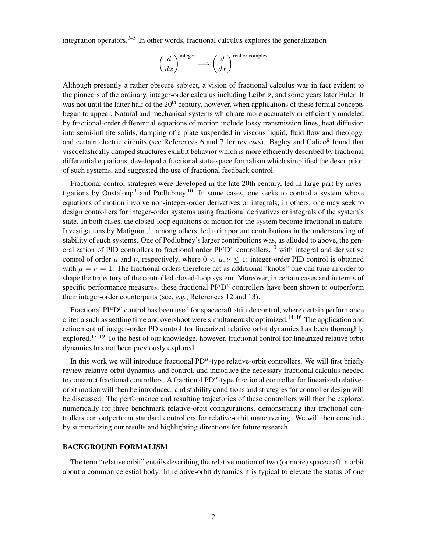integration operators.<sup>[3](#page-18-2)[–5](#page-19-0)</sup> In other words, fractional calculus explores the generalization

$$
\left(\frac{d}{dx}\right)^{\text{integer}} \longrightarrow \left(\frac{d}{dx}\right)^{\text{real or complex}}
$$

Although presently a rather obscure subject, a vision of fractional calculus was in fact evident to the pioneers of the ordinary, integer-order calculus including Leibniz, and some years later Euler. It was not until the latter half of the 20<sup>th</sup> century, however, when applications of these formal concepts began to appear. Natural and mechanical systems which are more accurately or efficiently modeled by fractional-order differential equations of motion include lossy transmission lines, heat diffusion into semi-infinite solids, damping of a plate suspended in viscous liquid, fluid flow and rheology, and certain electric circuits (see References [6](#page-19-1) and [7](#page-19-2) for reviews). Bagley and Calico<sup>[8](#page-19-3)</sup> found that viscoelastically damped structures exhibit behavior which is more efficiently described by fractional differential equations, developed a fractional state-space formalism which simplified the description of such systems, and suggested the use of fractional feedback control.

Fractional control strategies were developed in the late 20th century, led in large part by inves-tigations by Oustaloup<sup>[9](#page-19-4)</sup> and Podlubney.<sup>[10](#page-19-5)</sup> In some cases, one seeks to control a system whose equations of motion involve non-integer-order derivatives or integrals; in others, one may seek to design controllers for integer-order systems using fractional derivatives or integrals of the system's state. In both cases, the closed-loop equations of motion for the system become fractional in nature. Investigations by Matignon,  $11$  among others, led to important contributions in the understanding of stability of such systems. One of Podlubney's larger contributions was, as alluded to above, the generalization of PID controllers to fractional order  $PI^{\mu}D^{\nu}$  controllers,<sup>[10](#page-19-5)</sup> with integral and derivative control of order  $\mu$  and  $\nu$ , respectively, where  $0 < \mu, \nu \le 1$ ; integer-order PID control is obtained with  $\mu = \nu = 1$ . The fractional orders therefore act as additional "knobs" one can tune in order to shape the trajectory of the controlled closed-loop system. Moreover, in certain cases and in terms of specific performance measures, these fractional  $PI^{\mu}D^{\nu}$  controllers have been shown to outperform their integer-order counterparts (see, *e.g.*, References [12](#page-19-7) and [13\)](#page-19-8).

Fractional PI<sup>µ</sup>D<sup>*v*</sup> control has been used for spacecraft attitude control, where certain performance criteria such as settling time and overshoot were simultaneously optimized.<sup>[14–](#page-19-9)[16](#page-19-10)</sup> The application and refinement of integer-order PD control for linearized relative orbit dynamics has been thoroughly explored.<sup>[17–](#page-19-11)[19](#page-19-12)</sup> To the best of our knowledge, however, fractional control for linearized relative orbit dynamics has not been previously explored.

In this work we will introduce fractional  $PD^{\alpha}$ -type relative-orbit controllers. We will first briefly review relative-orbit dynamics and control, and introduce the necessary fractional calculus needed to construct fractional controllers. A fractional PD $^{\alpha}$ -type fractional controller for linearized relativeorbit motion will then be introduced, and stability conditions and strategies for controller design will be discussed. The performance and resulting trajectories of these controllers will then be explored numerically for three benchmark relative-orbit configurations, demonstrating that fractional controllers can outperform standard controllers for relative-orbit maneuvering. We will then conclude by summarizing our results and highlighting directions for future research.

#### BACKGROUND FORMALISM

The term "relative orbit" entails describing the relative motion of two (or more) spacecraft in orbit about a common celestial body. In relative-orbit dynamics it is typical to elevate the status of one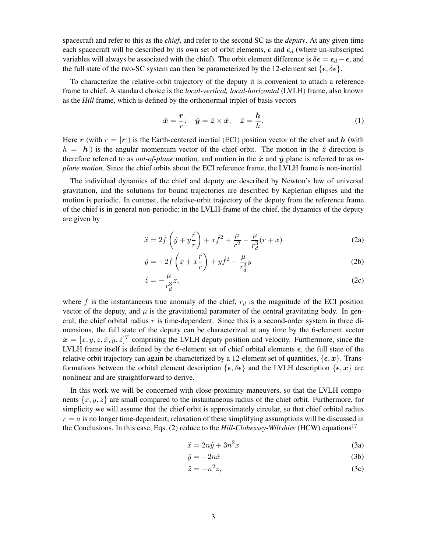spacecraft and refer to this as the *chief*, and refer to the second SC as the *deputy*. At any given time each spacecraft will be described by its own set of orbit elements,  $\epsilon$  and  $\epsilon_d$  (where un-subscripted variables will always be associated with the chief). The orbit element difference is  $\delta \epsilon = \epsilon_d - \epsilon$ , and the full state of the two-SC system can then be parameterized by the 12-element set  $\{\epsilon, \delta \epsilon\}.$ 

To characterize the relative-orbit trajectory of the deputy it is convenient to attach a reference frame to chief. A standard choice is the *local-vertical, local-horizontal* (LVLH) frame, also known as the *Hill* frame, which is defined by the orthonormal triplet of basis vectors

$$
\hat{\boldsymbol{x}} = \frac{\boldsymbol{r}}{r}; \quad \hat{\boldsymbol{y}} = \hat{\boldsymbol{z}} \times \hat{\boldsymbol{x}}; \quad \hat{\boldsymbol{z}} = \frac{\boldsymbol{h}}{h}.
$$
 (1)

Here r (with  $r = |r|$ ) is the Earth-centered inertial (ECI) position vector of the chief and h (with  $h = |h|$ ) is the angular momentum vector of the chief orbit. The motion in the  $\hat{z}$  direction is therefore referred to as *out-of-plane* motion, and motion in the  $\hat{x}$  and  $\hat{y}$  plane is referred to as *inplane motion*. Since the chief orbits about the ECI reference frame, the LVLH frame is non-inertial.

The individual dynamics of the chief and deputy are described by Newton's law of universal gravitation, and the solutions for bound trajectories are described by Keplerian ellipses and the motion is periodic. In contrast, the relative-orbit trajectory of the deputy from the reference frame of the chief is in general non-periodic; in the LVLH-frame of the chief, the dynamics of the deputy are given by

$$
\ddot{x} = 2\dot{f}\left(\dot{y} + y\frac{\dot{r}}{r}\right) + x\dot{f}^2 + \frac{\mu}{r^2} - \frac{\mu}{r_d^3}(r+x)
$$
 (2a)

$$
\ddot{y} = -2\dot{f}\left(\dot{x} + x\frac{\dot{r}}{r}\right) + y\dot{f}^2 - \frac{\mu}{r_d^3}y\tag{2b}
$$

<span id="page-2-0"></span>
$$
\ddot{z} = -\frac{\mu}{r_d^3} z,\tag{2c}
$$

where f is the instantaneous true anomaly of the chief,  $r_d$  is the magnitude of the ECI position vector of the deputy, and  $\mu$  is the gravitational parameter of the central gravitating body. In general, the chief orbital radius  $r$  is time-dependent. Since this is a second-order system in three dimensions, the full state of the deputy can be characterized at any time by the 6-element vector  $\mathbf{x} = [x, y, z, \dot{x}, \dot{y}, \dot{z}]^T$  comprising the LVLH deputy position and velocity. Furthermore, since the LVLH frame itself is defined by the 6-element set of chief orbital elements  $\epsilon$ , the full state of the relative orbit trajectory can again be characterized by a 12-element set of quantities,  $\{\epsilon, x\}$ . Transformations between the orbital element description  $\{\epsilon, \delta \epsilon\}$  and the LVLH description  $\{\epsilon, x\}$  are nonlinear and are straightforward to derive.

In this work we will be concerned with close-proximity maneuvers, so that the LVLH components  $\{x, y, z\}$  are small compared to the instantaneous radius of the chief orbit. Furthermore, for simplicity we will assume that the chief orbit is approximately circular, so that chief orbital radius  $r = a$  is no longer time-dependent; relaxation of these simplifying assumptions will be discussed in the Conclusions. In this case, Eqs. [\(2\)](#page-2-0) reduce to the *Hill-Clohessey-Wiltshire* (HCW) equations<sup>[17](#page-19-11)</sup>

$$
\ddot{x} = 2n\dot{y} + 3n^2x\tag{3a}
$$

<span id="page-2-1"></span>
$$
\ddot{y} = -2n\dot{x} \tag{3b}
$$

$$
\ddot{z} = -n^2 z,\tag{3c}
$$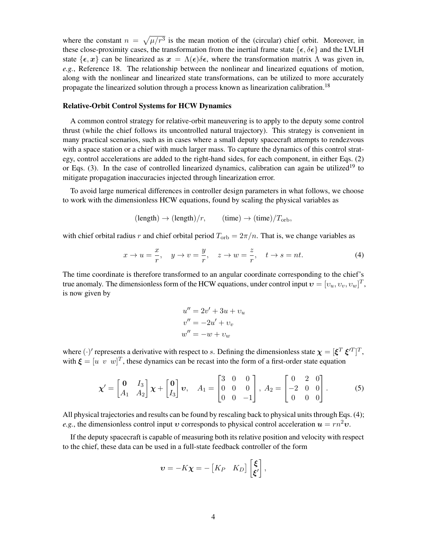where the constant  $n = \sqrt{\mu/r^3}$  is the mean motion of the (circular) chief orbit. Moreover, in these close-proximity cases, the transformation from the inertial frame state  $\{\epsilon, \delta \epsilon\}$  and the LVLH state  $\{\epsilon, x\}$  can be linearized as  $x = \Lambda(\epsilon)\delta\epsilon$ , where the transformation matrix  $\Lambda$  was given in, *e.g.*, Reference [18.](#page-19-13) The relationship between the nonlinear and linearized equations of motion, along with the nonlinear and linearized state transformations, can be utilized to more accurately propagate the linearized solution through a process known as linearization calibration.[18](#page-19-13)

#### Relative-Orbit Control Systems for HCW Dynamics

A common control strategy for relative-orbit maneuvering is to apply to the deputy some control thrust (while the chief follows its uncontrolled natural trajectory). This strategy is convenient in many practical scenarios, such as in cases where a small deputy spacecraft attempts to rendezvous with a space station or a chief with much larger mass. To capture the dynamics of this control strategy, control accelerations are added to the right-hand sides, for each component, in either Eqs. [\(2\)](#page-2-0) or Eqs.  $(3)$ . In the case of controlled linearized dynamics, calibration can again be utilized<sup>[19](#page-19-12)</sup> to mitigate propagation inaccuracies injected through linearization error.

To avoid large numerical differences in controller design parameters in what follows, we choose to work with the dimensionless HCW equations, found by scaling the physical variables as

$$
(\text{length}) \rightarrow (\text{length})/r,
$$
  $(\text{time}) \rightarrow (\text{time})/T_{\text{orb}},$ 

with chief orbital radius r and chief orbital period  $T_{\rm orb} = 2\pi/n$ . That is, we change variables as

<span id="page-3-0"></span>
$$
x \to u = \frac{x}{r}, \quad y \to v = \frac{y}{r}, \quad z \to w = \frac{z}{r}, \quad t \to s = nt.
$$
 (4)

The time coordinate is therefore transformed to an angular coordinate corresponding to the chief's true anomaly. The dimensionless form of the HCW equations, under control input  $\boldsymbol{v} = [v_u, v_v, v_w]^T$ , is now given by

$$
u'' = 2v' + 3u + v_u
$$
  

$$
v'' = -2u' + v_v
$$
  

$$
w'' = -w + v_w
$$

where  $(\cdot)'$  represents a derivative with respect to s. Defining the dimensionless state  $\chi = [\xi^T \xi'^T]^T$ , with  $\boldsymbol{\xi} = [u \ v \ w]^T$ , these dynamics can be recast into the form of a first-order state equation

<span id="page-3-1"></span>
$$
\boldsymbol{\chi}' = \begin{bmatrix} \mathbf{0} & I_3 \\ A_1 & A_2 \end{bmatrix} \boldsymbol{\chi} + \begin{bmatrix} \mathbf{0} \\ I_3 \end{bmatrix} \boldsymbol{v}, \quad A_1 = \begin{bmatrix} 3 & 0 & 0 \\ 0 & 0 & 0 \\ 0 & 0 & -1 \end{bmatrix}, \quad A_2 = \begin{bmatrix} 0 & 2 & 0 \\ -2 & 0 & 0 \\ 0 & 0 & 0 \end{bmatrix}.
$$
 (5)

All physical trajectories and results can be found by rescaling back to physical units through Eqs. [\(4\)](#page-3-0); *e.g.*, the dimensionless control input  $v$  corresponds to physical control acceleration  $u = rn^2v$ .

If the deputy spacecraft is capable of measuring both its relative position and velocity with respect to the chief, these data can be used in a full-state feedback controller of the form

$$
\boldsymbol{v} = -K\boldsymbol{\chi} = -\begin{bmatrix} K_P & K_D \end{bmatrix} \begin{bmatrix} \boldsymbol{\xi} \\ \boldsymbol{\xi}' \end{bmatrix},
$$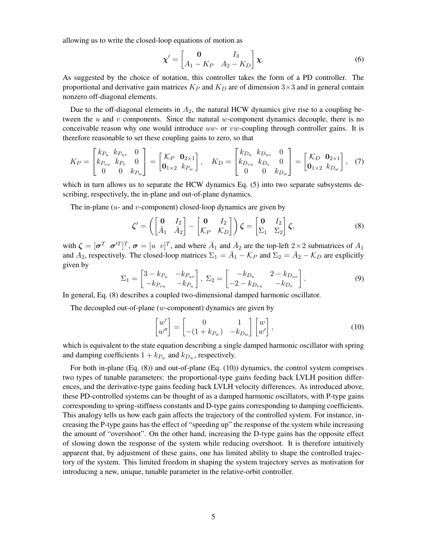allowing us to write the closed-loop equations of motion as

<span id="page-4-2"></span>
$$
\boldsymbol{\chi}' = \begin{bmatrix} \mathbf{0} & I_3 \\ A_1 - K_P & A_2 - K_D \end{bmatrix} \boldsymbol{\chi}.
$$
 (6)

As suggested by the choice of notation, this controller takes the form of a PD controller. The proportional and derivative gain matrices  $K_P$  and  $K_D$  are of dimension 3×3 and in general contain nonzero off-diagonal elements.

Due to the off-diagonal elements in  $A_2$ , the natural HCW dynamics give rise to a coupling between the  $u$  and  $v$  components. Since the natural  $w$ -component dynamics decouple, there is no conceivable reason why one would introduce  $uw$ - or  $vw$ -coupling through controller gains. It is therefore reasonable to set these coupling gains to zero, so that

<span id="page-4-3"></span>
$$
K_P = \begin{bmatrix} k_{P_u} & k_{P_{uv}} & 0 \\ k_{P_{vu}} & k_{P_v} & 0 \\ 0 & 0 & k_{P_w} \end{bmatrix} = \begin{bmatrix} \mathcal{K}_P & \mathbf{0}_{2 \times 1} \\ \mathbf{0}_{1 \times 2} & k_{P_w} \end{bmatrix}, \quad K_D = \begin{bmatrix} k_{D_u} & k_{D_{uv}} & 0 \\ k_{D_{vu}} & k_{D_v} & 0 \\ 0 & 0 & k_{D_w} \end{bmatrix} = \begin{bmatrix} \mathcal{K}_D & \mathbf{0}_{2 \times 1} \\ \mathbf{0}_{1 \times 2} & k_{D_w} \end{bmatrix}, \quad (7)
$$

which in turn allows us to separate the HCW dynamics Eq. [\(5\)](#page-3-1) into two separate subsystems describing, respectively, the in-plane and out-of-plane dynamics.

The in-plane  $(u$ - and  $v$ -component) closed-loop dynamics are given by

<span id="page-4-0"></span>
$$
\zeta' = \left( \begin{bmatrix} \mathbf{0} & I_2 \\ \bar{A}_1 & \bar{A}_2 \end{bmatrix} - \begin{bmatrix} \mathbf{0} & I_2 \\ \mathcal{K}_P & \mathcal{K}_D \end{bmatrix} \right) \zeta = \begin{bmatrix} \mathbf{0} & I_2 \\ \Sigma_1 & \Sigma_2 \end{bmatrix} \zeta, \tag{8}
$$

with  $\zeta = [\sigma^T \ \sigma^T]^T$ ,  $\sigma = [u \ v]^T$ , and where  $\bar{A}_1$  and  $\bar{A}_2$  are the top-left  $2 \times 2$  submatrices of  $A_1$ and  $A_2$ , respectively. The closed-loop matrices  $\Sigma_1 = \overline{A}_1 - \mathcal{K}_P$  and  $\Sigma_2 = \overline{A}_2 - \mathcal{K}_D$  are explicitly given by

<span id="page-4-4"></span>
$$
\Sigma_1 = \begin{bmatrix} 3 - k_{P_u} & -k_{P_{uv}} \\ -k_{P_{vu}} & -k_{P_u} \end{bmatrix}, \ \Sigma_2 = \begin{bmatrix} -k_{D_u} & 2 - k_{D_{uv}} \\ -2 - k_{D_{vu}} & -k_{D_v} \end{bmatrix}.
$$
 (9)

In general, Eq. [\(8\)](#page-4-0) describes a coupled two-dimensional damped harmonic oscillator.

The decoupled out-of-plane  $(w$ -component) dynamics are given by

<span id="page-4-1"></span>
$$
\begin{bmatrix} w' \\ w'' \end{bmatrix} = \begin{bmatrix} 0 & 1 \\ -(1 + k_{P_w}) & -k_{D_w} \end{bmatrix} \begin{bmatrix} w \\ w' \end{bmatrix},
$$
\n(10)

which is equivalent to the state equation describing a single damped harmonic oscillator with spring and damping coefficients  $1 + k_{P_w}$  and  $k_{D_w}$ , respectively.

For both in-plane (Eq. [\(8\)](#page-4-0)) and out-of-plane (Eq. [\(10\)](#page-4-1)) dynamics, the control system comprises two types of tunable parameters: the proportional-type gains feeding back LVLH position differences, and the derivative-type gains feeding back LVLH velocity differences. As introduced above, these PD-controlled systems can be thought of as a damped harmonic oscillators, with P-type gains corresponding to spring-stiffness constants and D-type gains corresponding to damping coefficients. This analogy tells us how each gain affects the trajectory of the controlled system. For instance, increasing the P-type gains has the effect of "speeding up" the response of the system while increasing the amount of "overshoot". On the other hand, increasing the D-type gains has the opposite effect of slowing down the response of the system while reducing overshoot. It is therefore intuitively apparent that, by adjustment of these gains, one has limited ability to shape the controlled trajectory of the system. This limited freedom in shaping the system trajectory serves as motivation for introducing a new, unique, tunable parameter in the relative-orbit controller.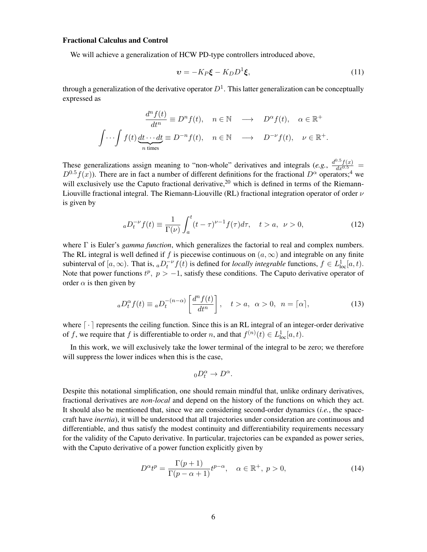#### Fractional Calculus and Control

We will achieve a generalization of HCW PD-type controllers introduced above,

<span id="page-5-1"></span>
$$
\mathbf{v} = -K_P \boldsymbol{\xi} - K_D D^1 \boldsymbol{\xi},\tag{11}
$$

through a generalization of the derivative operator  $D^1$ . This latter generalization can be conceptually expressed as

$$
\frac{d^n f(t)}{dt^n} \equiv D^n f(t), \quad n \in \mathbb{N} \quad \longrightarrow \quad D^\alpha f(t), \quad \alpha \in \mathbb{R}^+
$$

$$
\int \cdots \int f(t) \underbrace{dt \cdots dt}_{n \text{ times}} \equiv D^{-n} f(t), \quad n \in \mathbb{N} \quad \longrightarrow \quad D^{-\nu} f(t), \quad \nu \in \mathbb{R}^+.
$$

These generalizations assign meaning to "non-whole" derivatives and integrals (*e.g.*,  $\frac{d^{0.5}f(x)}{dx^{0.5}}$  $D^{0.5}f(x)$ ). There are in fact a number of different definitions for the fractional  $D^{\alpha}$  operators;<sup>[4](#page-18-3)</sup> we will exclusively use the Caputo fractional derivative,  $20$  which is defined in terms of the Riemann-Liouville fractional integral. The Riemann-Liouville (RL) fractional integration operator of order  $\nu$ is given by

$$
{}_{a}D_{t}^{-\nu}f(t) \equiv \frac{1}{\Gamma(\nu)} \int_{a}^{t} (t-\tau)^{\nu-1} f(\tau) d\tau, \quad t > a, \ \nu > 0,
$$
 (12)

where Γ is Euler's *gamma function*, which generalizes the factorial to real and complex numbers. The RL integral is well defined if f is piecewise continuous on  $(a, \infty)$  and integrable on any finite subinterval of  $[a, \infty)$ . That is,  ${_aD_t^{-\nu}}f(t)$  is defined for *locally integrable* functions,  $f \in L^1_{loc}[a, t)$ . Note that power functions  $t^p$ ,  $p > -1$ , satisfy these conditions. The Caputo derivative operator of order  $\alpha$  is then given by

$$
{}_{a}D_{t}^{\alpha}f(t) \equiv {}_{a}D_{t}^{-(n-\alpha)}\left[\frac{d^{n}f(t)}{dt^{n}}\right], \quad t > a, \ \alpha > 0, \ n = \lceil \alpha \rceil,
$$
 (13)

where  $\lceil \cdot \rceil$  represents the ceiling function. Since this is an RL integral of an integer-order derivative of f, we require that f is differentiable to order n, and that  $f^{(n)}(t) \in L^1_{loc}[a, t)$ .

In this work, we will exclusively take the lower terminal of the integral to be zero; we therefore will suppress the lower indices when this is the case,

$$
{}_{0}D_{t}^{\alpha} \to D^{\alpha}.
$$

Despite this notational simplification, one should remain mindful that, unlike ordinary derivatives, fractional derivatives are *non-local* and depend on the history of the functions on which they act. It should also be mentioned that, since we are considering second-order dynamics (*i.e.*, the spacecraft have *inertia*), it will be understood that all trajectories under consideration are continuous and differentiable, and thus satisfy the modest continuity and differentiability requirements necessary for the validity of the Caputo derivative. In particular, trajectories can be expanded as power series, with the Caputo derivative of a power function explicitly given by

<span id="page-5-0"></span>
$$
D^{\alpha}t^{p} = \frac{\Gamma(p+1)}{\Gamma(p-\alpha+1)}t^{p-\alpha}, \quad \alpha \in \mathbb{R}^{+}, \ p > 0,
$$
\n(14)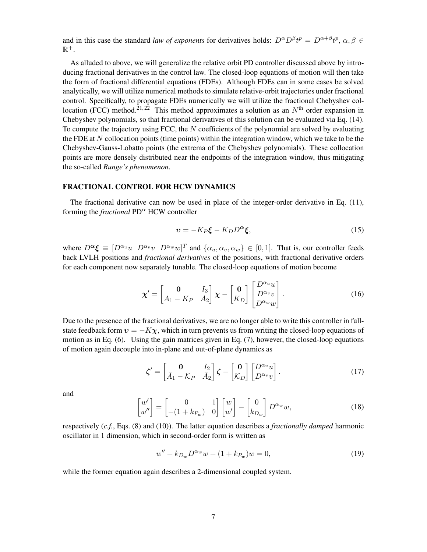and in this case the standard *law of exponents* for derivatives holds:  $D^{\alpha}D^{\beta}t^p = D^{\alpha+\beta}t^p$ ,  $\alpha, \beta \in$  $\mathbb{R}^+$ .

As alluded to above, we will generalize the relative orbit PD controller discussed above by introducing fractional derivatives in the control law. The closed-loop equations of motion will then take the form of fractional differential equations (FDEs). Although FDEs can in some cases be solved analytically, we will utilize numerical methods to simulate relative-orbit trajectories under fractional control. Specifically, to propagate FDEs numerically we will utilize the fractional Chebyshev col-location (FCC) method.<sup>[21,](#page-19-15) [22](#page-19-16)</sup> This method approximates a solution as an  $N<sup>th</sup>$  order expansion in Chebyshev polynomials, so that fractional derivatives of this solution can be evaluated via Eq. [\(14\)](#page-5-0). To compute the trajectory using FCC, the  $N$  coefficients of the polynomial are solved by evaluating the FDE at N collocation points (time points) within the integration window, which we take to be the Chebyshev-Gauss-Lobatto points (the extrema of the Chebyshev polynomials). These collocation points are more densely distributed near the endpoints of the integration window, thus mitigating the so-called *Runge's phenomenon*.

#### FRACTIONAL CONTROL FOR HCW DYNAMICS

The fractional derivative can now be used in place of the integer-order derivative in Eq. [\(11\)](#page-5-1), forming the *fractional*  $PD^{\alpha}$  HCW controller

<span id="page-6-3"></span>
$$
\mathbf{v} = -K_P \boldsymbol{\xi} - K_D D^{\alpha} \boldsymbol{\xi},\tag{15}
$$

where  $D^{\alpha} \xi \equiv [D^{\alpha_u}u \ D^{\alpha_v}v \ D^{\alpha_w}w]^T$  and  $\{\alpha_u, \alpha_v, \alpha_w\} \in [0, 1]$ . That is, our controller feeds back LVLH positions and *fractional derivatives* of the positions, with fractional derivative orders for each component now separately tunable. The closed-loop equations of motion become

<span id="page-6-1"></span>
$$
\mathbf{\chi}' = \begin{bmatrix} \mathbf{0} & I_3 \\ A_1 - K_P & A_2 \end{bmatrix} \mathbf{\chi} - \begin{bmatrix} \mathbf{0} \\ K_D \end{bmatrix} \begin{bmatrix} D^{\alpha_u} u \\ D^{\alpha_v} v \\ D^{\alpha_w} w \end{bmatrix} . \tag{16}
$$

Due to the presence of the fractional derivatives, we are no longer able to write this controller in fullstate feedback form  $v = -K\chi$ , which in turn prevents us from writing the closed-loop equations of motion as in Eq. [\(6\)](#page-4-2). Using the gain matrices given in Eq. [\(7\)](#page-4-3), however, the closed-loop equations of motion again decouple into in-plane and out-of-plane dynamics as

<span id="page-6-0"></span>
$$
\zeta' = \begin{bmatrix} 0 & I_2 \\ \bar{A}_1 - \mathcal{K}_P & \bar{A}_2 \end{bmatrix} \zeta - \begin{bmatrix} 0 \\ \mathcal{K}_D \end{bmatrix} \begin{bmatrix} D^{\alpha_u} u \\ D^{\alpha_v} v \end{bmatrix}.
$$
 (17)

and

$$
\begin{bmatrix} w' \\ w'' \end{bmatrix} = \begin{bmatrix} 0 & 1 \\ -(1 + k_{P_w}) & 0 \end{bmatrix} \begin{bmatrix} w \\ w' \end{bmatrix} - \begin{bmatrix} 0 \\ k_{D_w} \end{bmatrix} D^{\alpha_w} w,
$$
 (18)

respectively (*c.f.*, Eqs. [\(8\)](#page-4-0) and [\(10\)](#page-4-1)). The latter equation describes a *fractionally damped* harmonic oscillator in 1 dimension, which in second-order form is written as

<span id="page-6-2"></span>
$$
w'' + k_{D_w} D^{\alpha_w} w + (1 + k_{P_w}) w = 0,
$$
\n(19)

while the former equation again describes a 2-dimensional coupled system.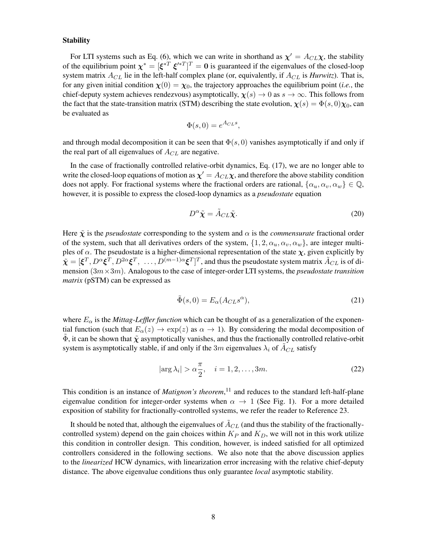#### **Stability**

For LTI systems such as Eq. [\(6\)](#page-4-2), which we can write in shorthand as  $\chi' = A_{CL}\chi$ , the stability of the equilibrium point  $\chi^* = [\xi^{*T} \xi^{*T}]^T = 0$  is guaranteed if the eigenvalues of the closed-loop system matrix  $A_{CL}$  lie in the left-half complex plane (or, equivalently, if  $A_{CL}$  is *Hurwitz*). That is, for any given initial condition  $\chi(0) = \chi_0$ , the trajectory approaches the equilibrium point (*i.e.*, the chief-deputy system achieves rendezvous) asymptotically,  $\chi(s) \to 0$  as  $s \to \infty$ . This follows from the fact that the state-transition matrix (STM) describing the state evolution,  $\chi(s) = \Phi(s,0)\chi_0$ , can be evaluated as

$$
\Phi(s,0) = e^{A_{CL}s},
$$

and through modal decomposition it can be seen that  $\Phi(s, 0)$  vanishes asymptotically if and only if the real part of all eigenvalues of  $A_{CL}$  are negative.

In the case of fractionally controlled relative-orbit dynamics, Eq. [\(17\)](#page-6-0), we are no longer able to write the closed-loop equations of motion as  $\bm{\chi}'=A_{CL}\bm{\chi},$  and therefore the above stability condition does not apply. For fractional systems where the fractional orders are rational,  $\{\alpha_u, \alpha_v, \alpha_w\} \in \mathbb{Q}$ , however, it is possible to express the closed-loop dynamics as a *pseudostate* equation

<span id="page-7-0"></span>
$$
D^{\alpha}\tilde{\chi} = \tilde{A}_{CL}\tilde{\chi}.
$$
 (20)

Here  $\tilde{\chi}$  is the *pseudostate* corresponding to the system and  $\alpha$  is the *commensurate* fractional order of the system, such that all derivatives orders of the system,  $\{1, 2, \alpha_u, \alpha_v, \alpha_w\}$ , are integer multiples of  $\alpha$ . The pseudostate is a higher-dimensional representation of the state  $\chi$ , given explicitly by  $\tilde{\boldsymbol{\chi}}=[\boldsymbol{\xi}^T,D^\alpha\boldsymbol{\xi}^T,D^{2\alpha}\boldsymbol{\xi}^T,\ \ldots,D^{(m-1)\alpha}\boldsymbol{\xi}^T]^T,$  and thus the pseudostate system matrix  $\tilde{A}_{CL}$  is of dimension (3m×3m). Analogous to the case of integer-order LTI systems, the *pseudostate transition matrix* (pSTM) can be expressed as

$$
\tilde{\Phi}(s,0) = E_{\alpha}(A_{CL}s^{\alpha}),\tag{21}
$$

where  $E_{\alpha}$  is the *Mittag-Leffler function* which can be thought of as a generalization of the exponential function (such that  $E_{\alpha}(z) \to \exp(z)$  as  $\alpha \to 1$ ). By considering the modal decomposition of  $\Phi$ , it can be shown that  $\tilde{\chi}$  asymptotically vanishes, and thus the fractionally controlled relative-orbit system is asymptotically stable, if and only if the 3m eigenvalues  $\lambda_i$  of  $A_{CL}$  satisfy

$$
|\arg \lambda_i| > \alpha \frac{\pi}{2}, \quad i = 1, 2, \dots, 3m. \tag{22}
$$

This condition is an instance of *Matignon's theorem*, [11](#page-19-6) and reduces to the standard left-half-plane eigenvalue condition for integer-order systems when  $\alpha \rightarrow 1$  (See Fig. [1\)](#page-8-0). For a more detailed exposition of stability for fractionally-controlled systems, we refer the reader to Reference [23.](#page-19-17)

It should be noted that, although the eigenvalues of  $A_{CL}$  (and thus the stability of the fractionallycontrolled system) depend on the gain choices within  $K_P$  and  $K_D$ , we will not in this work utilize this condition in controller design. This condition, however, is indeed satisfied for all optimized controllers considered in the following sections. We also note that the above discussion applies to the *linearized* HCW dynamics, with linearization error increasing with the relative chief-deputy distance. The above eigenvalue conditions thus only guarantee *local* asymptotic stability.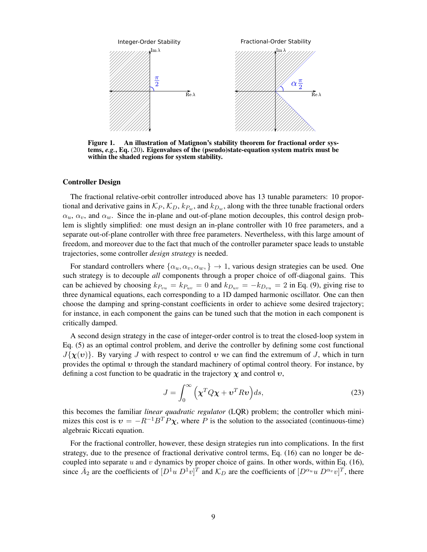

<span id="page-8-0"></span>Figure 1. An illustration of Matignon's stability theorem for fractional order systems, *e.g.*, Eq. [\(20\)](#page-7-0). Eigenvalues of the (pseudo)state-equation system matrix must be within the shaded regions for system stability.

#### Controller Design

The fractional relative-orbit controller introduced above has 13 tunable parameters: 10 proportional and derivative gains in  $\mathcal{K}_P$ ,  $\mathcal{K}_D$ ,  $k_{P_w}$ , and  $k_{D_w}$ , along with the three tunable fractional orders  $\alpha_u$ ,  $\alpha_v$ , and  $\alpha_w$ . Since the in-plane and out-of-plane motion decouples, this control design problem is slightly simplified: one must design an in-plane controller with 10 free parameters, and a separate out-of-plane controller with three free parameters. Nevertheless, with this large amount of freedom, and moreover due to the fact that much of the controller parameter space leads to unstable trajectories, some controller *design strategy* is needed.

For standard controllers where  $\{\alpha_u, \alpha_v, \alpha_w, \} \rightarrow 1$ , various design strategies can be used. One such strategy is to decouple *all* components through a proper choice of off-diagonal gains. This can be achieved by choosing  $k_{Pvu} = k_{Puv} = 0$  and  $k_{Duv} = -k_{Dvu} = 2$  in Eq. [\(9\)](#page-4-4), giving rise to three dynamical equations, each corresponding to a 1D damped harmonic oscillator. One can then choose the damping and spring-constant coefficients in order to achieve some desired trajectory; for instance, in each component the gains can be tuned such that the motion in each component is critically damped.

A second design strategy in the case of integer-order control is to treat the closed-loop system in Eq. [\(5\)](#page-3-1) as an optimal control problem, and derive the controller by defining some cost functional  $J{x(v)}$ . By varying J with respect to control v we can find the extremum of J, which in turn provides the optimal  $\upsilon$  through the standard machinery of optimal control theory. For instance, by defining a cost function to be quadratic in the trajectory  $\chi$  and control  $\upsilon$ ,

<span id="page-8-1"></span>
$$
J = \int_0^\infty \left( \mathbf{\chi}^T Q \mathbf{\chi} + \mathbf{v}^T R \mathbf{v} \right) ds,\tag{23}
$$

this becomes the familiar *linear quadratic regulator* (LQR) problem; the controller which minimizes this cost is  $v = -R^{-1}B^{T}P\chi$ , where P is the solution to the associated (continuous-time) algebraic Riccati equation.

For the fractional controller, however, these design strategies run into complications. In the first strategy, due to the presence of fractional derivative control terms, Eq. [\(16\)](#page-6-1) can no longer be de-coupled into separate u and v dynamics by proper choice of gains. In other words, within Eq. [\(16\)](#page-6-1), since  $\bar{A}_2$  are the coefficients of  $[D^1u D^1v]^T$  and  $\mathcal{K}_D$  are the coefficients of  $[D^{\alpha_u}u D^{\alpha_v}v]^T$ , there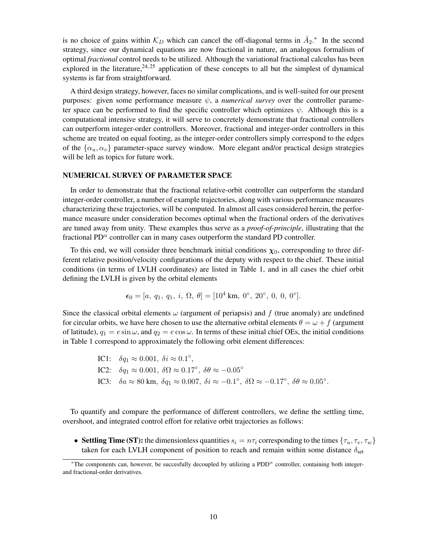is no choice of gains within  $\mathcal{K}_D$  which can cancel the off-diagonal terms in  $\bar{A}_2$ .<sup>\*</sup> In the second strategy, since our dynamical equations are now fractional in nature, an analogous formalism of optimal *fractional* control needs to be utilized. Although the variational fractional calculus has been explored in the literature,  $24.25$  $24.25$  application of these concepts to all but the simplest of dynamical systems is far from straightforward.

A third design strategy, however, faces no similar complications, and is well-suited for our present purposes: given some performance measure  $\psi$ , a *numerical survey* over the controller parameter space can be performed to find the specific controller which optimizes  $\psi$ . Although this is a computational intensive strategy, it will serve to concretely demonstrate that fractional controllers can outperform integer-order controllers. Moreover, fractional and integer-order controllers in this scheme are treated on equal footing, as the integer-order controllers simply correspond to the edges of the  $\{\alpha_u, \alpha_v\}$  parameter-space survey window. More elegant and/or practical design strategies will be left as topics for future work.

#### NUMERICAL SURVEY OF PARAMETER SPACE

In order to demonstrate that the fractional relative-orbit controller can outperform the standard integer-order controller, a number of example trajectories, along with various performance measures characterizing these trajectories, will be computed. In almost all cases considered herein, the performance measure under consideration becomes optimal when the fractional orders of the derivatives are tuned away from unity. These examples thus serve as a *proof-of-principle*, illustrating that the fractional PD $\alpha$  controller can in many cases outperform the standard PD controller.

To this end, we will consider three benchmark initial conditions  $\chi_0$ , corresponding to three different relative position/velocity configurations of the deputy with respect to the chief. These initial conditions (in terms of LVLH coordinates) are listed in Table [1,](#page-10-0) and in all cases the chief orbit defining the LVLH is given by the orbital elements

$$
\epsilon_0=[a, q_1, q_1, i, \Omega, \theta]=[10^4 \text{ km}, 0^\circ, 20^\circ, 0, 0, 0^\circ].
$$

Since the classical orbital elements  $\omega$  (argument of periapsis) and f (true anomaly) are undefined for circular orbits, we have here chosen to use the alternative orbital elements  $\theta = \omega + f$  (argument of latitude),  $q_1 = e \sin \omega$ , and  $q_2 = e \cos \omega$ . In terms of these initial chief OEs, the initial conditions in Table [1](#page-10-0) correspond to approximately the following orbit element differences:

\n- IC1: 
$$
\delta q_1 \approx 0.001
$$
,  $\delta i \approx 0.1^{\circ}$ ,
\n- IC2:  $\delta q_1 \approx 0.001$ ,  $\delta \Omega \approx 0.17^{\circ}$ ,  $\delta \theta \approx -0.05^{\circ}$
\n- IC3:  $\delta a \approx 80 \text{ km}$ ,  $\delta q_1 \approx 0.007$ ,  $\delta i \approx -0.1^{\circ}$ ,  $\delta \Omega \approx -0.17^{\circ}$ ,  $\delta \theta \approx 0.05^{\circ}$ .
\n

To quantify and compare the performance of different controllers, we define the settling time, overshoot, and integrated control effort for relative orbit trajectories as follows:

• Settling Time (ST): the dimensionless quantities  $s_i = n\tau_i$  corresponding to the times  $\{\tau_u, \tau_v, \tau_w\}$ taken for each LVLH component of position to reach and remain within some distance  $\delta_{\text{set}}$ 

<span id="page-9-0"></span><sup>\*</sup>The components can, however, be succesfully decoupled by utilizing a  $PDD^{\alpha}$  controller, containing both integerand fractional-order derivatives.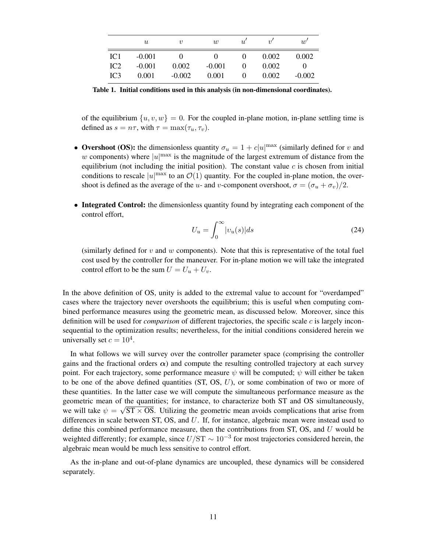|                 | $\boldsymbol{\mathit{u}}$ | $\boldsymbol{v}$  | w                 | u' | $\eta$ | $\overline{w}$ |
|-----------------|---------------------------|-------------------|-------------------|----|--------|----------------|
| IC <sub>1</sub> | $-0.001$                  | $\mathbf{\Omega}$ | $\mathbf{\Omega}$ |    | 0.002  | 0.002          |
| IC2             | $-0.001$                  | 0.002             | $-0.001$          |    | 0.002  | 0              |
| IC <sub>3</sub> | 0.001                     | $-0.002$          | 0.001             |    | 0.002  | $-0.002$       |

<span id="page-10-0"></span>Table 1. Initial conditions used in this analysis (in non-dimensional coordinates).

of the equilibrium  $\{u, v, w\} = 0$ . For the coupled in-plane motion, in-plane settling time is defined as  $s = n\tau$ , with  $\tau = \max(\tau_u, \tau_v)$ .

- Overshoot (OS): the dimensionless quantity  $\sigma_u = 1 + c|u|^{max}$  (similarly defined for v and w components) where  $|u|^{\max}$  is the magnitude of the largest extremum of distance from the equilibrium (not including the initial position). The constant value  $c$  is chosen from initial conditions to rescale  $|u|^{\max}$  to an  $\mathcal{O}(1)$  quantity. For the coupled in-plane motion, the overshoot is defined as the average of the u- and v-component overshoot,  $\sigma = (\sigma_u + \sigma_v)/2$ .
- Integrated Control: the dimensionless quantity found by integrating each component of the control effort,

$$
U_u = \int_0^\infty |v_u(s)| ds \tag{24}
$$

(similarly defined for  $v$  and  $w$  components). Note that this is representative of the total fuel cost used by the controller for the maneuver. For in-plane motion we will take the integrated control effort to be the sum  $U = U_u + U_v$ .

In the above definition of OS, unity is added to the extremal value to account for "overdamped" cases where the trajectory never overshoots the equilibrium; this is useful when computing combined performance measures using the geometric mean, as discussed below. Moreover, since this definition will be used for *comparison* of different trajectories, the specific scale c is largely inconsequential to the optimization results; nevertheless, for the initial conditions considered herein we universally set  $c = 10^4$ .

In what follows we will survey over the controller parameter space (comprising the controller gains and the fractional orders  $\alpha$ ) and compute the resulting controlled trajectory at each survey point. For each trajectory, some performance measure  $\psi$  will be computed;  $\psi$  will either be taken to be one of the above defined quantities (ST, OS, U), or some combination of two or more of these quantities. In the latter case we will compute the simultaneous performance measure as the geometric mean of the quantities; for instance, to characterize both ST and OS simultaneously, we will take  $\psi = \sqrt{ST} \times OS$ . Utilizing the geometric mean avoids complications that arise from differences in scale between ST, OS, and  $U$ . If, for instance, algebraic mean were instead used to define this combined performance measure, then the contributions from  $ST$ ,  $OS$ , and  $U$  would be weighted differently; for example, since  $U/ST \sim 10^{-3}$  for most trajectories considered herein, the algebraic mean would be much less sensitive to control effort.

As the in-plane and out-of-plane dynamics are uncoupled, these dynamics will be considered separately.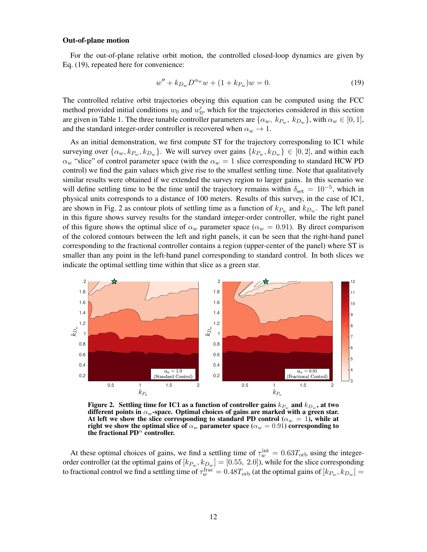#### Out-of-plane motion

For the out-of-plane relative orbit motion, the controlled closed-loop dynamics are given by Eq. [\(19\)](#page-6-2), repeated here for convenience:

$$
w'' + k_{D_w} D^{\alpha_w} w + (1 + k_{P_w}) w = 0.
$$
 (19)

The controlled relative orbit trajectories obeying this equation can be computed using the FCC method provided initial conditions  $w_0$  and  $w'_0$ , which for the trajectories considered in this section are given in Table [1.](#page-10-0) The three tunable controller parameters are  $\{\alpha_w, k_{P_w}, k_{D_w}\}$ , with  $\alpha_w \in [0,1]$ , and the standard integer-order controller is recovered when  $\alpha_w \rightarrow 1$ .

As an initial demonstration, we first compute ST for the trajectory corresponding to IC1 while surveying over  $\{\alpha_w, k_{P_w}, k_{D_w}\}$ . We will survey over gains  $\{k_{P_w}, k_{D_w}\} \in [0, 2]$ , and within each  $\alpha_w$  "slice" of control parameter space (with the  $\alpha_w = 1$  slice corresponding to standard HCW PD control) we find the gain values which give rise to the smallest settling time. Note that qualitatively similar results were obtained if we extended the survey region to larger gains. In this scenario we will define settling time to be the time until the trajectory remains within  $\delta_{\rm set} = 10^{-5}$ , which in physical units corresponds to a distance of 100 meters. Results of this survey, in the case of IC1, are shown in Fig. [2](#page-11-0) as contour plots of settling time as a function of  $k_{P_w}$  and  $k_{D_w}$ . The left panel in this figure shows survey results for the standard integer-order controller, while the right panel of this figure shows the optimal slice of  $\alpha_w$  parameter space ( $\alpha_w = 0.91$ ). By direct comparison of the colored contours between the left and right panels, it can be seen that the right-hand panel corresponding to the fractional controller contains a region (upper-center of the panel) where ST is smaller than any point in the left-hand panel corresponding to standard control. In both slices we indicate the optimal settling time within that slice as a green star.



<span id="page-11-0"></span>Figure 2. Settling time for IC1 as a function of controller gains  $k_{P_w}$  and  $k_{D_w}$ , at two different points in  $\alpha_w$ -space. Optimal choices of gains are marked with a green star. At left we show the slice corresponding to standard PD control ( $\alpha_w = 1$ ), while at right we show the optimal slice of  $\alpha_w$  parameter space ( $\alpha_w = 0.91$ ) corresponding to the fractional PD $^{\alpha}$  controller.

At these optimal choices of gains, we find a settling time of  $\tau_w^{\text{int}} = 0.63 T_{\text{orb}}$  using the integerorder controller (at the optimal gains of  $[k_{P_w}, k_{D_w}] = [0.55, 2.0]$ ), while for the slice corresponding to fractional control we find a settling time of  $\tau_w^{\rm frac}=0.48T_{\rm orb}$  (at the optimal gains of  $[k_{P_w},k_{D_w}]=$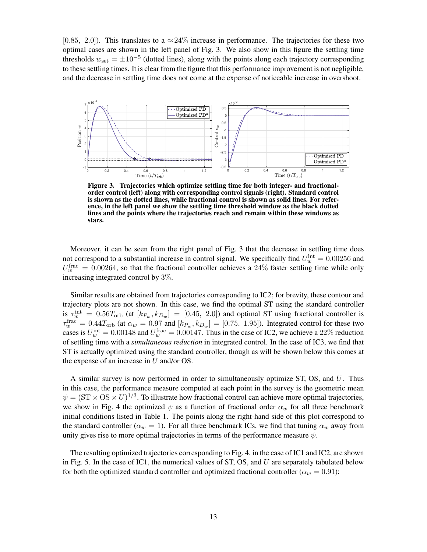[0.85, 2.0]). This translates to a  $\approx$  24% increase in performance. The trajectories for these two optimal cases are shown in the left panel of Fig. [3.](#page-12-0) We also show in this figure the settling time thresholds  $w_{\text{set}} = \pm 10^{-5}$  (dotted lines), along with the points along each trajectory corresponding to these settling times. It is clear from the figure that this performance improvement is not negligible, and the decrease in settling time does not come at the expense of noticeable increase in overshoot.



<span id="page-12-0"></span>Figure 3. Trajectories which optimize settling time for both integer- and fractionalorder control (left) along with corresponding control signals (right). Standard control is shown as the dotted lines, while fractional control is shown as solid lines. For reference, in the left panel we show the settling time threshold window as the black dotted lines and the points where the trajectories reach and remain within these windows as stars.

Moreover, it can be seen from the right panel of Fig. [3](#page-12-0) that the decrease in settling time does not correspond to a substantial increase in control signal. We specifically find  $U_w^{\text{int}} = 0.00256$  and  $U_w^{\text{frac}} = 0.00264$ , so that the fractional controller achieves a 24% faster settling time while only increasing integrated control by 3%.

Similar results are obtained from trajectories corresponding to IC2; for brevity, these contour and trajectory plots are not shown. In this case, we find the optimal ST using the standard controller is  $\tau_w^{\text{int}} = 0.56T_{\text{orb}}$  (at  $[k_{P_w}, k_{D_w}] = [0.45, 2.0]$ ) and optimal ST using fractional controller is  $\tau_w^{\text{frac}} = 0.44 T_{\text{orb}}$  (at  $\alpha_w = 0.97$  and  $[k_{P_w}, k_{D_w}] = [0.75, 1.95]$ ). Integrated control for these two cases is  $U_{w}^{\text{int}} = 0.00148$  and  $U_{w}^{\text{frac}} = 0.00147$ . Thus in the case of IC2, we achieve a 22% reduction of settling time with a *simultaneous reduction* in integrated control. In the case of IC3, we find that ST is actually optimized using the standard controller, though as will be shown below this comes at the expense of an increase in U and/or OS.

A similar survey is now performed in order to simultaneously optimize ST, OS, and U. Thus in this case, the performance measure computed at each point in the survey is the geometric mean  $\psi = (\text{ST} \times \text{OS} \times U)^{1/3}$ . To illustrate how fractional control can achieve more optimal trajectories, we show in Fig. [4](#page-13-0) the optimized  $\psi$  as a function of fractional order  $\alpha_w$  for all three benchmark initial conditions listed in Table [1.](#page-10-0) The points along the right-hand side of this plot correspond to the standard controller ( $\alpha_w = 1$ ). For all three benchmark ICs, we find that tuning  $\alpha_w$  away from unity gives rise to more optimal trajectories in terms of the performance measure  $\psi$ .

The resulting optimized trajectories corresponding to Fig. [4,](#page-13-0) in the case of IC1 and IC2, are shown in Fig. [5.](#page-13-1) In the case of IC1, the numerical values of  $ST$ , OS, and U are separately tabulated below for both the optimized standard controller and optimized fractional controller ( $\alpha_w = 0.91$ ):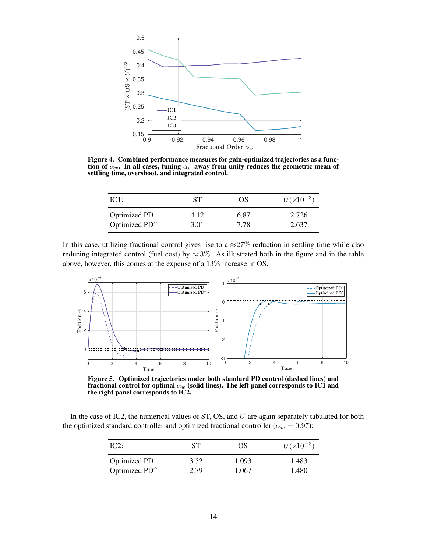

<span id="page-13-0"></span>Figure 4. Combined performance measures for gain-optimized trajectories as a function of  $\alpha_w$ . In all cases, tuning  $\alpha_w$  away from unity reduces the geometric mean of settling time, overshoot, and integrated control.

| IC1:                    | SТ   | OS   | $U(x10^{-3})$ |
|-------------------------|------|------|---------------|
| <b>Optimized PD</b>     | 4.12 | 6.87 | 2.726         |
| Optimized $PD^{\alpha}$ | 3.01 | 7.78 | 2.637         |

In this case, utilizing fractional control gives rise to a  $\approx$  27% reduction in settling time while also reducing integrated control (fuel cost) by  $\approx 3\%$ . As illustrated both in the figure and in the table above, however, this comes at the expense of a 13% increase in OS.



<span id="page-13-1"></span>Figure 5. Optimized trajectories under both standard PD control (dashed lines) and fractional control for optimal  $\alpha_w$  (solid lines). The left panel corresponds to IC1 and the right panel corresponds to IC2.

In the case of IC2, the numerical values of ST, OS, and  $U$  are again separately tabulated for both the optimized standard controller and optimized fractional controller ( $\alpha_w = 0.97$ ):

| IC2:                    | SТ   | OS    | $U(x10^{-3})$ |
|-------------------------|------|-------|---------------|
| Optimized PD            | 3.52 | 1.093 | 1.483         |
| Optimized $PD^{\alpha}$ | 2.79 | 1.067 | 1.480         |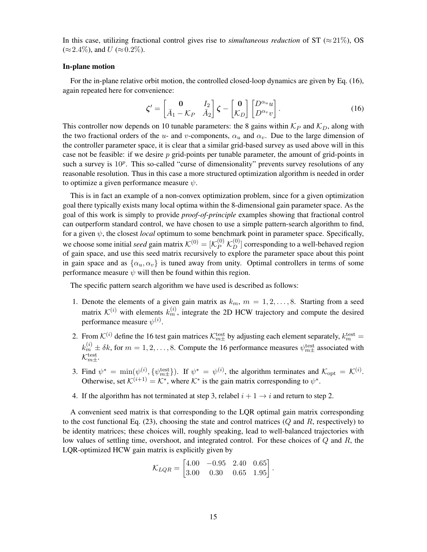In this case, utilizing fractional control gives rise to *simultaneous reduction* of  $ST \approx 21\%$ ), OS  $(\approx 2.4\%)$ , and  $U (\approx 0.2\%).$ 

#### In-plane motion

For the in-plane relative orbit motion, the controlled closed-loop dynamics are given by Eq. [\(16\)](#page-6-1), again repeated here for convenience:

$$
\zeta' = \begin{bmatrix} 0 & I_2 \\ \bar{A}_1 - \mathcal{K}_P & \bar{A}_2 \end{bmatrix} \zeta - \begin{bmatrix} 0 \\ \mathcal{K}_D \end{bmatrix} \begin{bmatrix} D^{\alpha_u} u \\ D^{\alpha_v} v \end{bmatrix}.
$$
 (16)

This controller now depends on 10 tunable parameters: the 8 gains within  $\mathcal{K}_P$  and  $\mathcal{K}_D$ , along with the two fractional orders of the u- and v-components,  $\alpha_u$  and  $\alpha_v$ . Due to the large dimension of the controller parameter space, it is clear that a similar grid-based survey as used above will in this case not be feasible: if we desire  $p$  grid-points per tunable parameter, the amount of grid-points in such a survey is  $10^p$ . This so-called "curse of dimensionality" prevents survey resolutions of any reasonable resolution. Thus in this case a more structured optimization algorithm is needed in order to optimize a given performance measure  $\psi$ .

This is in fact an example of a non-convex optimization problem, since for a given optimization goal there typically exists many local optima within the 8-dimensional gain parameter space. As the goal of this work is simply to provide *proof-of-principle* examples showing that fractional control can outperform standard control, we have chosen to use a simple pattern-search algorithm to find, for a given  $\psi$ , the closest *local* optimum to some benchmark point in parameter space. Specifically, we choose some initial *seed* gain matrix  $K^{(0)} = [K_P^{(0)} K_D^{(0)}]$  corresponding to a well-behaved region of gain space, and use this seed matrix recursively to explore the parameter space about this point in gain space and as  $\{\alpha_u, \alpha_v\}$  is tuned away from unity. Optimal controllers in terms of some performance measure  $\psi$  will then be found within this region.

The specific pattern search algorithm we have used is described as follows:

- 1. Denote the elements of a given gain matrix as  $k_m$ ,  $m = 1, 2, \ldots, 8$ . Starting from a seed matrix  $\mathcal{K}^{(i)}$  with elements  $k_m^{(i)}$ , integrate the 2D HCW trajectory and compute the desired performance measure  $\psi^{(i)}$ .
- 2. From  $K^{(i)}$  define the 16 test gain matrices  $K_{m\pm}^{\text{test}}$  by adjusting each element separately,  $k_m^{\text{test}} =$  $k_m^{(i)} \pm \delta k$ , for  $m = 1, 2, ..., 8$ . Compute the 16 performance measures  $\psi_{m\pm}^{\text{test}}$  associated with  $\mathcal{K}^\text{test}_{m\pm}.$
- 3. Find  $\psi^* = \min(\psi^{(i)}, \{\psi_{m\pm}^{\text{test}}\})$ . If  $\psi^* = \psi^{(i)}$ , the algorithm terminates and  $\mathcal{K}_{\text{opt}} = \mathcal{K}^{(i)}$ . Otherwise, set  $\mathcal{K}^{(i+1)} = \mathcal{K}^*$ , where  $\mathcal{K}^*$  is the gain matrix corresponding to  $\psi^*$ .
- 4. If the algorithm has not terminated at step 3, relabel  $i + 1 \rightarrow i$  and return to step 2.

A convenient seed matrix is that corresponding to the LQR optimal gain matrix corresponding to the cost functional Eq.  $(23)$ , choosing the state and control matrices  $(Q \text{ and } R, \text{ respectively})$  to be identity matrices; these choices will, roughly speaking, lead to well-balanced trajectories with low values of settling time, overshoot, and integrated control. For these choices of Q and R, the LQR-optimized HCW gain matrix is explicitly given by

$$
\mathcal{K}_{LQR} = \begin{bmatrix} 4.00 & -0.95 & 2.40 & 0.65 \\ 3.00 & 0.30 & 0.65 & 1.95 \end{bmatrix}.
$$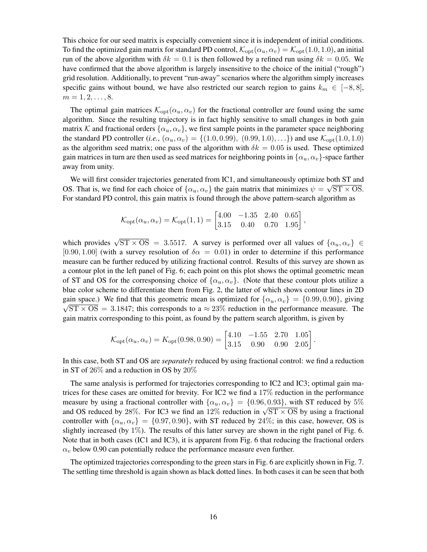This choice for our seed matrix is especially convenient since it is independent of initial conditions. To find the optimized gain matrix for standard PD control,  $\mathcal{K}_{opt}(\alpha_u, \alpha_v) = \mathcal{K}_{opt}(1.0, 1.0)$ , an initial run of the above algorithm with  $\delta k = 0.1$  is then followed by a refined run using  $\delta k = 0.05$ . We have confirmed that the above algorithm is largely insensitive to the choice of the initial ("rough") grid resolution. Additionally, to prevent "run-away" scenarios where the algorithm simply increases specific gains without bound, we have also restricted our search region to gains  $k_m \in [-8, 8]$ ,  $m = 1, 2, \ldots, 8.$ 

The optimal gain matrices  $\mathcal{K}_{\text{opt}}(\alpha_u, \alpha_v)$  for the fractional controller are found using the same algorithm. Since the resulting trajectory is in fact highly sensitive to small changes in both gain matrix K and fractional orders  $\{\alpha_u, \alpha_v\}$ , we first sample points in the parameter space neighboring the standard PD controller (*i.e.*,  $(\alpha_u, \alpha_v) = \{(1.0, 0.99), (0.99, 1.0), ...\}$ ) and use  $\mathcal{K}_{opt}(1.0, 1.0)$ as the algorithm seed matrix; one pass of the algorithm with  $\delta k = 0.05$  is used. These optimized gain matrices in turn are then used as seed matrices for neighboring points in  $\{\alpha_u, \alpha_v\}$ -space farther away from unity.

We will first consider trajectories generated from IC1, and simultaneously optimize both ST and OS. That is, we find for each choice of  $\{\alpha_u, \alpha_v\}$  the gain matrix that minimizes  $\psi = \sqrt{ST \times OS}$ . For standard PD control, this gain matrix is found through the above pattern-search algorithm as

$$
\mathcal{K}_{\text{opt}}(\alpha_u, \alpha_v) = \mathcal{K}_{\text{opt}}(1, 1) = \begin{bmatrix} 4.00 & -1.35 & 2.40 & 0.65 \\ 3.15 & 0.40 & 0.70 & 1.95 \end{bmatrix},
$$

which provides  $\sqrt{ST \times OS}$  = 3.5517. A survey is performed over all values of  $\{\alpha_u, \alpha_v\} \in$ [0.90, 1.00] (with a survey resolution of  $\delta \alpha = 0.01$ ) in order to determine if this performance measure can be further reduced by utilizing fractional control. Results of this survey are shown as a contour plot in the left panel of Fig. [6;](#page-16-0) each point on this plot shows the optimal geometric mean of ST and OS for the corresponsing choice of  $\{\alpha_u, \alpha_v\}$ . (Note that these contour plots utilize a blue color scheme to differentiate them from Fig. [2,](#page-11-0) the latter of which shows contour lines in 2D gain space.) We find that this geometric mean is optimized for  $\{\alpha_u, \alpha_v\} = \{0.99, 0.90\}$ , giving  $\sqrt{ST \times OS}$  = 3.1847; this corresponds to a  $\approx 23\%$  reduction in the performance measure. The gain matrix corresponding to this point, as found by the pattern search algorithm, is given by

$$
\mathcal{K}_{\text{opt}}(\alpha_u, \alpha_v) = K_{\text{opt}}(0.98, 0.90) = \begin{bmatrix} 4.10 & -1.55 & 2.70 & 1.05\\ 3.15 & 0.90 & 0.90 & 2.05 \end{bmatrix}
$$

.

In this case, both ST and OS are *separately* reduced by using fractional control: we find a reduction in ST of 26% and a reduction in OS by 20%

The same analysis is performed for trajectories corresponding to IC2 and IC3; optimal gain matrices for these cases are omitted for brevity. For IC2 we find a 17% reduction in the performance measure by using a fractional controller with  $\{\alpha_u, \alpha_v\} = \{0.96, 0.93\}$ , with ST reduced by 5% measure by using a fractional controller with  $\{\alpha_u, \alpha_v\} = \{0.90, 0.95\}$ , with ST reduced by 3% and OS reduced by 28%. For IC3 we find an 12% reduction in  $\sqrt{ST \times OS}$  by using a fractional controller with  $\{\alpha_u, \alpha_v\} = \{0.97, 0.90\}$ , with ST reduced by 24%; in this case, however, OS is slightly increased (by 1%). The results of this latter survey are shown in the right panel of Fig. [6.](#page-16-0) Note that in both cases (IC1 and IC3), it is apparent from Fig. [6](#page-16-0) that reducing the fractional orders  $\alpha_v$  below 0.90 can potentially reduce the performance measure even further.

The optimized trajectories corresponding to the green stars in Fig. [6](#page-16-0) are explicitly shown in Fig. [7.](#page-16-1) The settling time threshold is again shown as black dotted lines. In both cases it can be seen that both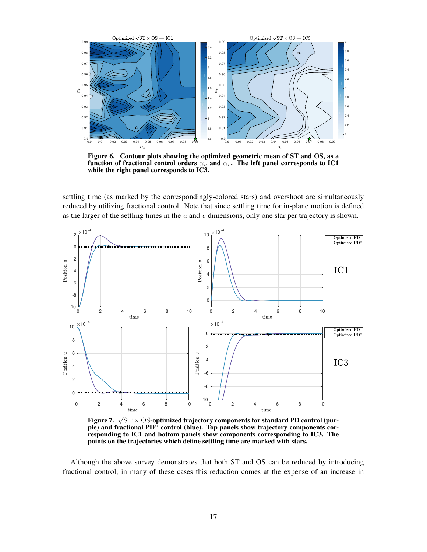

<span id="page-16-0"></span>Figure 6. Contour plots showing the optimized geometric mean of ST and OS, as a function of fractional control orders  $\alpha_u$  and  $\alpha_v$ . The left panel corresponds to IC1 while the right panel corresponds to IC3.

settling time (as marked by the correspondingly-colored stars) and overshoot are simultaneously reduced by utilizing fractional control. Note that since settling time for in-plane motion is defined as the larger of the settling times in the  $u$  and  $v$  dimensions, only one star per trajectory is shown.



<span id="page-16-1"></span>Figure 7.  $\sqrt{\text{ST} \times \text{OS}}$ -optimized trajectory components for standard PD control (purple) and fractional  $PD^{\tilde{\alpha}}$  control (blue). Top panels show trajectory components corresponding to IC1 and bottom panels show components corresponding to IC3. The points on the trajectories which define settling time are marked with stars.

Although the above survey demonstrates that both ST and OS can be reduced by introducing fractional control, in many of these cases this reduction comes at the expense of an increase in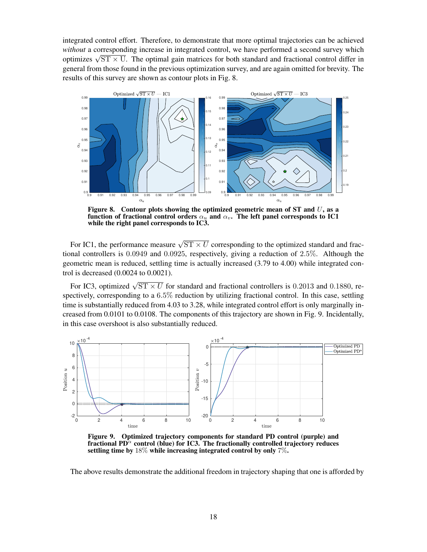integrated control effort. Therefore, to demonstrate that more optimal trajectories can be achieved *without* a corresponding increase in integrated control, we have performed a second survey which *without* a corresponding increase in integrated control, we have performed a second survey which optimizes  $\sqrt{ST \times U}$ . The optimal gain matrices for both standard and fractional control differ in general from those found in the previous optimization survey, and are again omitted for brevity. The results of this survey are shown as contour plots in Fig. [8.](#page-17-0)



<span id="page-17-0"></span>Figure 8. Contour plots showing the optimized geometric mean of ST and  $U$ , as a function of fractional control orders  $\alpha_u$  and  $\alpha_v$ . The left panel corresponds to IC1 while the right panel corresponds to IC3.

For IC1, the performance measure  $\sqrt{ST \times U}$  corresponding to the optimized standard and fractional controllers is 0.0949 and 0.0925, respectively, giving a reduction of 2.5%. Although the geometric mean is reduced, settling time is actually increased (3.79 to 4.00) while integrated control is decreased (0.0024 to 0.0021).

For IC3, optimized  $\sqrt{ST \times U}$  for standard and fractional controllers is 0.2013 and 0.1880, respectively, corresponding to a 6.5% reduction by utilizing fractional control. In this case, settling time is substantially reduced from 4.03 to 3.28, while integrated control effort is only marginally increased from 0.0101 to 0.0108. The components of this trajectory are shown in Fig. [9.](#page-17-1) Incidentally, in this case overshoot is also substantially reduced.



<span id="page-17-1"></span>Figure 9. Optimized trajectory components for standard PD control (purple) and fractional  $PD^{\alpha}$  control (blue) for IC3. The fractionally controlled trajectory reduces settling time by 18% while increasing integrated control by only 7%.

The above results demonstrate the additional freedom in trajectory shaping that one is afforded by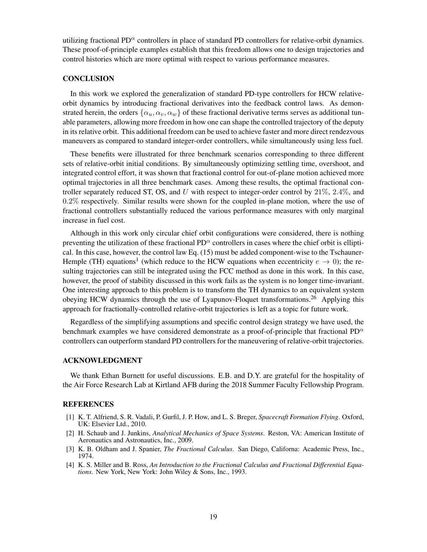utilizing fractional PD $\alpha$  controllers in place of standard PD controllers for relative-orbit dynamics. These proof-of-principle examples establish that this freedom allows one to design trajectories and control histories which are more optimal with respect to various performance measures.

#### **CONCLUSION**

In this work we explored the generalization of standard PD-type controllers for HCW relativeorbit dynamics by introducing fractional derivatives into the feedback control laws. As demonstrated herein, the orders  $\{\alpha_u, \alpha_v, \alpha_w\}$  of these fractional derivative terms serves as additional tunable parameters, allowing more freedom in how one can shape the controlled trajectory of the deputy in its relative orbit. This additional freedom can be used to achieve faster and more direct rendezvous maneuvers as compared to standard integer-order controllers, while simultaneously using less fuel.

These benefits were illustrated for three benchmark scenarios corresponding to three different sets of relative-orbit initial conditions. By simultaneously optimizing settling time, overshoot, and integrated control effort, it was shown that fractional control for out-of-plane motion achieved more optimal trajectories in all three benchmark cases. Among these results, the optimal fractional controller separately reduced ST, OS, and U with respect to integer-order control by  $21\%, 2.4\%,$  and  $0.2\%$  respectively. Similar results were shown for the coupled in-plane motion, where the use of fractional controllers substantially reduced the various performance measures with only marginal increase in fuel cost.

Although in this work only circular chief orbit configurations were considered, there is nothing preventing the utilization of these fractional  $PD^{\alpha}$  controllers in cases where the chief orbit is elliptical. In this case, however, the control law Eq. [\(15\)](#page-6-3) must be added component-wise to the Tschauner-Hemple (TH) equations<sup>[1](#page-18-0)</sup> (which reduce to the HCW equations when eccentricity  $e \to 0$ ); the resulting trajectories can still be integrated using the FCC method as done in this work. In this case, however, the proof of stability discussed in this work fails as the system is no longer time-invariant. One interesting approach to this problem is to transform the TH dynamics to an equivalent system obeying HCW dynamics through the use of Lyapunov-Floquet transformations.<sup>[26](#page-19-20)</sup> Applying this approach for fractionally-controlled relative-orbit trajectories is left as a topic for future work.

Regardless of the simplifying assumptions and specific control design strategy we have used, the benchmark examples we have considered demonstrate as a proof-of-principle that fractional  $PD^{\alpha}$ controllers can outperform standard PD controllers for the maneuvering of relative-orbit trajectories.

#### ACKNOWLEDGMENT

We thank Ethan Burnett for useful discussions. E.B. and D.Y. are grateful for the hospitality of the Air Force Research Lab at Kirtland AFB during the 2018 Summer Faculty Fellowship Program.

#### **REFERENCES**

- <span id="page-18-0"></span>[1] K. T. Alfriend, S. R. Vadali, P. Gurfil, J. P. How, and L. S. Breger, *Spacecraft Formation Flying*. Oxford, UK: Elsevier Ltd., 2010.
- <span id="page-18-1"></span>[2] H. Schaub and J. Junkins, *Analytical Mechanics of Space Systems*. Reston, VA: American Institute of Aeronautics and Astronautics, Inc., 2009.
- <span id="page-18-2"></span>[3] K. B. Oldham and J. Spanier, *The Fractional Calculus*. San Diego, Californa: Academic Press, Inc., 1974.
- <span id="page-18-3"></span>[4] K. S. Miller and B. Ross, *An Introduction to the Fractional Calculus and Fractional Differential Equations*. New York, New York: John Wiley & Sons, Inc., 1993.